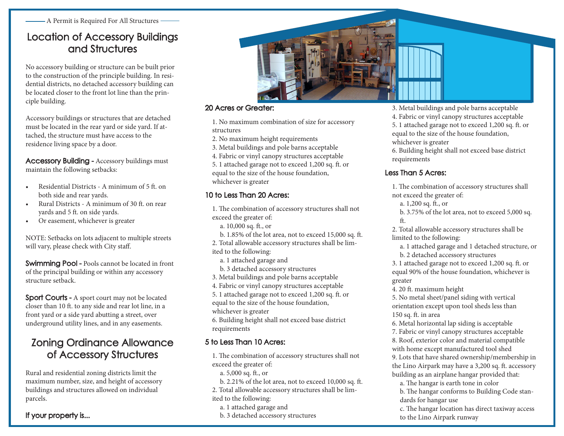- A Permit is Required For All Structures -

### Location of Accessory Buildings and Structures

No accessory building or structure can be built prior to the construction of the principle building. In residential districts, no detached accessory building can be located closer to the front lot line than the principle building.

Accessory buildings or structures that are detached must be located in the rear yard or side yard. If attached, the structure must have access to the residence living space by a door.

Accessory Building - Accessory buildings must maintain the following setbacks:

- Residential Districts A minimum of 5 ft. on both side and rear yards.
- Rural Districts A minimum of 30 ft. on rear yards and 5 ft. on side yards.
- Or easement, whichever is greater

NOTE: Setbacks on lots adjacent to multiple streets will vary, please check with City staff.

Swimming Pool - Pools cannot be located in front of the principal building or within any accessory structure setback.

Sport Courts - A sport court may not be located closer than 10 ft. to any side and rear lot line, in a front yard or a side yard abutting a street, over underground utility lines, and in any easements.

## Zoning Ordinance Allowance of Accessory Structures

Rural and residential zoning districts limit the maximum number, size, and height of accessory buildings and structures allowed on individual parcels.

If your property is...



#### 20 Acres or Greater:

1. No maximum combination of size for accessory structures

- 2. No maximum height requirements
- 3. Metal buildings and pole barns acceptable
- 4. Fabric or vinyl canopy structures acceptable
- 5. 1 attached garage not to exceed 1,200 sq. ft. or equal to the size of the house foundation, whichever is greater

#### 10 to Less Than 20 Acres:

1. The combination of accessory structures shall not exceed the greater of:

- a. 10,000 sq. ft., or
- b. 1.85% of the lot area, not to exceed 15,000 sq. ft.
- 2. Total allowable accessory structures shall be lim-
- ited to the following:
	- a. 1 attached garage and
	- b. 3 detached accessory structures
- 3. Metal buildings and pole barns acceptable
- 4. Fabric or vinyl canopy structures acceptable
- 5. 1 attached garage not to exceed 1,200 sq. ft. or equal to the size of the house foundation, whichever is greater
- 6. Building height shall not exceed base district requirements
- 5 to Less Than 10 Acres:
	- 1. The combination of accessory structures shall not exceed the greater of:
		- a. 5,000 sq. ft., or
	- b. 2.21% of the lot area, not to exceed 10,000 sq. ft.
	- 2. Total allowable accessory structures shall be lim-
	- ited to the following:
	- a. 1 attached garage and
	- b. 3 detached accessory structures

3. Metal buildings and pole barns acceptable

4. Fabric or vinyl canopy structures acceptable 5. 1 attached garage not to exceed 1,200 sq. ft. or equal to the size of the house foundation, whichever is greater

6. Building height shall not exceed base district requirements

#### Less Than 5 Acres:

1. The combination of accessory structures shall not exceed the greater of:

- a. 1,200 sq. ft., or
- b. 3.75% of the lot area, not to exceed 5,000 sq. ft.

2. Total allowable accessory structures shall be limited to the following:

a. 1 attached garage and 1 detached structure, or

b. 2 detached accessory structures

3. 1 attached garage not to exceed 1,200 sq. ft. or equal 90% of the house foundation, whichever is greater

4. 20 ft. maximum height

5. No metal sheet/panel siding with vertical orientation except upon tool sheds less than 150 sq. ft. in area

6. Metal horizontal lap siding is acceptable

7. Fabric or vinyl canopy structures acceptable

8. Roof, exterior color and material compatible with home except manufactured tool shed

9. Lots that have shared ownership/membership in the Lino Airpark may have a 3,200 sq. ft. accessory building as an airplane hangar provided that:

a. The hangar is earth tone in color

b. The hangar conforms to Building Code standards for hangar use

c. The hangar location has direct taxiway access to the Lino Airpark runway